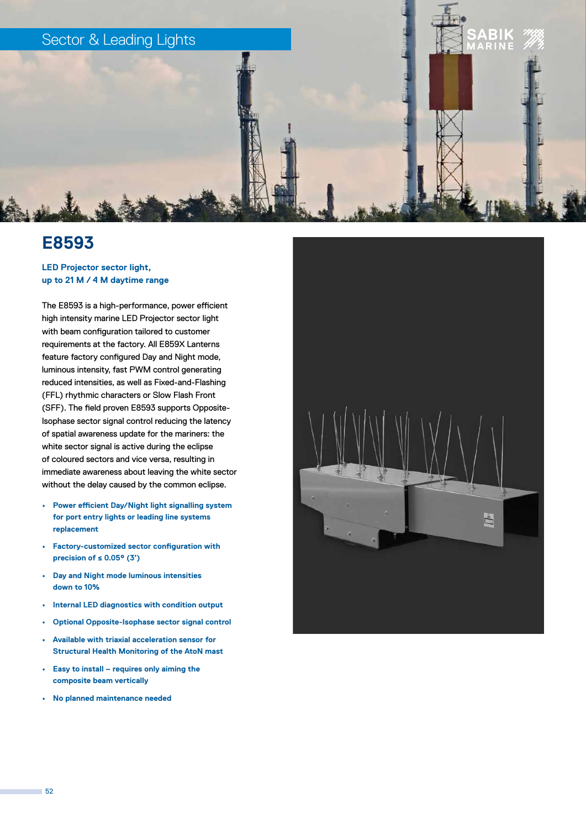

## **E8593**

### **LED Projector sector light, up to 21 M / 4 M daytime range**

The E8593 is a high-performance, power efficient high intensity marine LED Projector sector light with beam configuration tailored to customer requirements at the factory. All E859X Lanterns feature factory configured Day and Night mode, luminous intensity, fast PWM control generating reduced intensities, as well as Fixed-and-Flashing (FFL) rhythmic characters or Slow Flash Front (SFF). The field proven E8593 supports Opposite-Isophase sector signal control reducing the latency of spatial awareness update for the mariners: the white sector signal is active during the eclipse of coloured sectors and vice versa, resulting in immediate awareness about leaving the white sector without the delay caused by the common eclipse.

- **• Power efficient Day/Night light signalling system for port entry lights or leading line systems replacement**
- **• Factory-customized sector configuration with precision of ≤ 0.05° (3')**
- **• Day and Night mode luminous intensities down to 10%**
- **• Internal LED diagnostics with condition output**
- **• Optional Opposite-Isophase sector signal control**
- **• Available with triaxial acceleration sensor for Structural Health Monitoring of the AtoN mast**
- **• Easy to install requires only aiming the composite beam vertically**
- **• No planned maintenance needed**